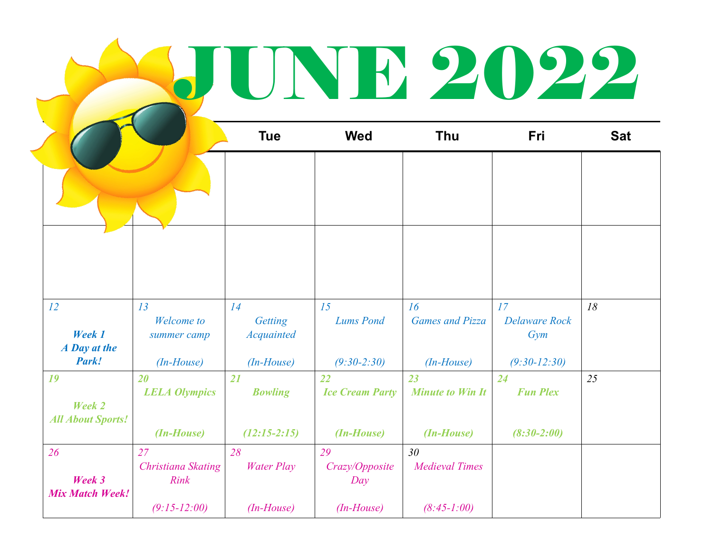## **JUNE 2022**

|                                          |                                  | <b>Tue</b>                         | <b>Wed</b>                   | Thu                                      | Fri                               | <b>Sat</b> |
|------------------------------------------|----------------------------------|------------------------------------|------------------------------|------------------------------------------|-----------------------------------|------------|
|                                          |                                  |                                    |                              |                                          |                                   |            |
|                                          |                                  |                                    |                              |                                          |                                   |            |
| 12<br>Week 1<br>A Day at the             | 13<br>Welcome to<br>summer camp  | 14<br>Getting<br><b>Acquainted</b> | 15<br><b>Lums Pond</b>       | 16<br><b>Games and Pizza</b>             | 17<br><b>Delaware Rock</b><br>Gym | 18         |
| Park!                                    | $(In-House)$                     | $(In-House)$                       | $(9:30-2:30)$                | $(In-House)$                             | $(9:30-12:30)$                    |            |
| 19<br>Week 2<br><b>All About Sports!</b> | 20<br><b>LELA Olympics</b>       | 21<br><b>Bowling</b>               | 22<br><b>Ice Cream Party</b> | 23<br><b>Minute to Win It</b>            | 24<br><b>Fun Plex</b>             | 25         |
|                                          | (In-House)                       | $(12:15-2:15)$                     | (In-House)                   | (In-House)                               | $(8:30-2:00)$                     |            |
| 26<br>Week 3                             | 27<br>Christiana Skating<br>Rink | 28<br><b>Water Play</b>            | 29<br>Crazy/Opposite<br>Day  | 30 <sup>°</sup><br><b>Medieval Times</b> |                                   |            |
| <b>Mix Match Week!</b>                   | $(9:15-12:00)$                   | $(In-House)$                       | $(In-House)$                 | $(8:45-1:00)$                            |                                   |            |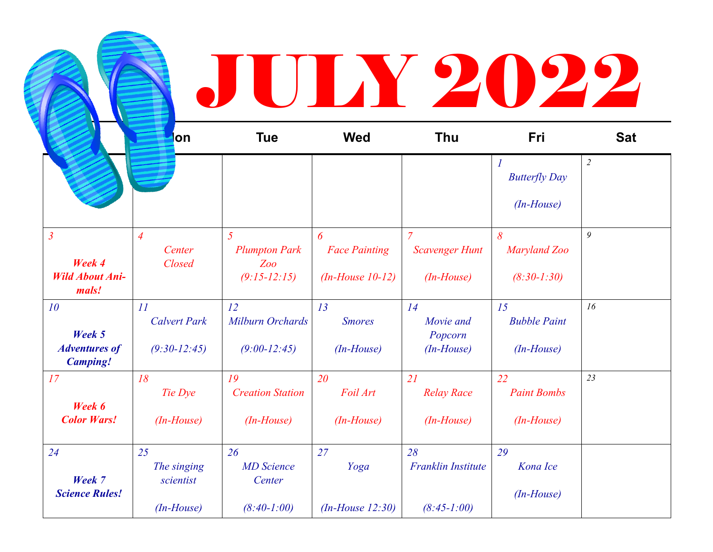## **BULY 2022**

|                                         | on                  | <b>Tue</b>              | <b>Wed</b>           | <b>Thu</b>                | Fri                                      | <b>Sat</b>     |
|-----------------------------------------|---------------------|-------------------------|----------------------|---------------------------|------------------------------------------|----------------|
|                                         |                     |                         |                      |                           | $\boldsymbol{l}$<br><b>Butterfly Day</b> | $\overline{2}$ |
|                                         |                     |                         |                      |                           | $(In-House)$                             |                |
| $\mathfrak{Z}$                          | $\overline{4}$      | $\overline{5}$          | 6                    | $\overline{7}$            | $\delta$                                 | 9              |
| Week 4                                  | Center              | <b>Plumpton Park</b>    | <b>Face Painting</b> | <b>Scavenger Hunt</b>     | Maryland Zoo                             |                |
| <b>Wild About Ani-</b><br>mals!         | Closed              | Zoo<br>$(9:15-12:15)$   | $(In-House 10-12)$   | $(In-House)$              | $(8:30-1:30)$                            |                |
| 10                                      | II                  | 12                      | 13                   | 14                        | 15                                       | 16             |
| Week 5                                  | <b>Calvert Park</b> | Milburn Orchards        | <b>Smores</b>        | Movie and<br>Popcorn      | <b>Bubble Paint</b>                      |                |
| <b>Adventures of</b><br><b>Camping!</b> | $(9:30-12:45)$      | $(9:00-12:45)$          | $(In-House)$         | $(In-House)$              | $(In-House)$                             |                |
| 17                                      | 18                  | 19                      | 20                   | 21                        | 22                                       | 23             |
| Week 6                                  | Tie Dye             | <b>Creation Station</b> | Foil Art             | <b>Relay Race</b>         | <b>Paint Bombs</b>                       |                |
| <b>Color Wars!</b>                      | $(In-House)$        | $(In-House)$            | $(In-House)$         | $(In-House)$              | $(In-House)$                             |                |
| 24                                      | 25                  | 26                      | 27                   | 28                        | 29                                       |                |
|                                         | The singing         | <b>MD</b> Science       | Yoga                 | <b>Franklin Institute</b> | Kona Ice                                 |                |
| Week 7<br><b>Science Rules!</b>         | scientist           | Center                  |                      |                           | $(In-House)$                             |                |
|                                         | $(In-House)$        | $(8:40-1:00)$           | $(In-House 12:30)$   | $(8:45-1:00)$             |                                          |                |